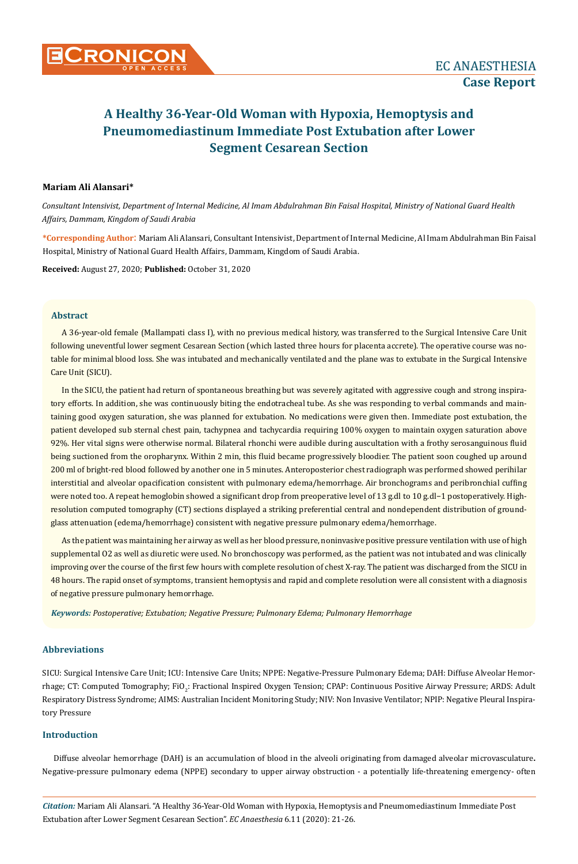# **Mariam Ali Alansari\***

*Consultant Intensivist, Department of Internal Medicine, Al Imam Abdulrahman Bin Faisal Hospital, Ministry of National Guard Health Affairs, Dammam, Kingdom of Saudi Arabia*

**\*Corresponding Author**: Mariam Ali Alansari, Consultant Intensivist, Department of Internal Medicine, Al Imam Abdulrahman Bin Faisal Hospital, Ministry of National Guard Health Affairs, Dammam, Kingdom of Saudi Arabia.

**Received:** August 27, 2020; **Published:** October 31, 2020

#### **Abstract**

A 36-year-old female (Mallampati class I), with no previous medical history, was transferred to the Surgical Intensive Care Unit following uneventful lower segment Cesarean Section (which lasted three hours for placenta accrete). The operative course was notable for minimal blood loss. She was intubated and mechanically ventilated and the plane was to extubate in the Surgical Intensive Care Unit (SICU).

In the SICU, the patient had return of spontaneous breathing but was severely agitated with aggressive cough and strong inspiratory efforts. In addition, she was continuously biting the endotracheal tube. As she was responding to verbal commands and maintaining good oxygen saturation, she was planned for extubation. No medications were given then. Immediate post extubation, the patient developed sub sternal chest pain, tachypnea and tachycardia requiring 100% oxygen to maintain oxygen saturation above 92%. Her vital signs were otherwise normal. Bilateral rhonchi were audible during auscultation with a frothy serosanguinous fluid being suctioned from the oropharynx. Within 2 min, this fluid became progressively bloodier. The patient soon coughed up around 200 ml of bright-red blood followed by another one in 5 minutes. Anteroposterior chest radiograph was performed showed perihilar interstitial and alveolar opacification consistent with pulmonary edema/hemorrhage. Air bronchograms and peribronchial cuffing were noted too. A repeat hemoglobin showed a significant drop from preoperative level of 13 g.dl to 10 g.dl−1 postoperatively. Highresolution computed tomography (CT) sections displayed a striking preferential central and nondependent distribution of groundglass attenuation (edema/hemorrhage) consistent with negative pressure pulmonary edema/hemorrhage.

As the patient was maintaining her airway as well as her blood pressure, noninvasive positive pressure ventilation with use of high supplemental O2 as well as diuretic were used. No bronchoscopy was performed, as the patient was not intubated and was clinically improving over the course of the first few hours with complete resolution of chest X-ray. The patient was discharged from the SICU in 48 hours. The rapid onset of symptoms, transient hemoptysis and rapid and complete resolution were all consistent with a diagnosis of negative pressure pulmonary hemorrhage.

*Keywords: Postoperative; Extubation; Negative Pressure; Pulmonary Edema; Pulmonary Hemorrhage*

# **Abbreviations**

SICU: Surgical Intensive Care Unit; ICU: Intensive Care Units; NPPE: Negative-Pressure Pulmonary Edema; DAH: Diffuse Alveolar Hemorrhage; CT: Computed Tomography; FiO<sub>2</sub>: Fractional Inspired Oxygen Tension; CPAP: Continuous Positive Airway Pressure; ARDS: Adult Respiratory Distress Syndrome; AIMS: Australian Incident Monitoring Study; NIV: Non Invasive Ventilator; NPIP: Negative Pleural Inspiratory Pressure

### **Introduction**

Diffuse alveolar hemorrhage (DAH) is an accumulation of blood in the alveoli originating from damaged alveolar microvasculature**.**  Negative-pressure pulmonary edema (NPPE) secondary to upper airway obstruction - a potentially life-threatening emergency- often

*Citation:* Mariam Ali Alansari. "A Healthy 36-Year-Old Woman with Hypoxia, Hemoptysis and Pneumomediastinum Immediate Post Extubation after Lower Segment Cesarean Section". *EC Anaesthesia* 6.11 (2020): 21-26.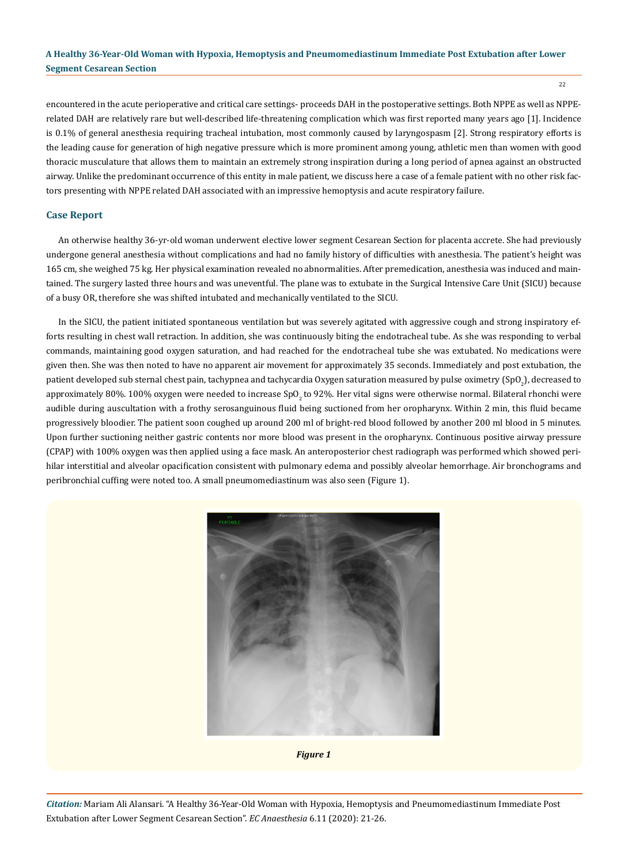22

encountered in the acute perioperative and critical care settings- proceeds DAH in the postoperative settings. Both NPPE as well as NPPErelated DAH are relatively rare but well-described life-threatening complication which was first reported many years ago [1]. Incidence is 0.1% of general anesthesia requiring tracheal intubation, most commonly caused by laryngospasm [2]. Strong respiratory efforts is the leading cause for generation of high negative pressure which is more prominent among young, athletic men than women with good thoracic musculature that allows them to maintain an extremely strong inspiration during a long period of apnea against an obstructed airway. Unlike the predominant occurrence of this entity in male patient, we discuss here a case of a female patient with no other risk factors presenting with NPPE related DAH associated with an impressive hemoptysis and acute respiratory failure.

## **Case Report**

An otherwise healthy 36-yr-old woman underwent elective lower segment Cesarean Section for placenta accrete. She had previously undergone general anesthesia without complications and had no family history of difficulties with anesthesia. The patient's height was 165 cm, she weighed 75 kg. Her physical examination revealed no abnormalities. After premedication, anesthesia was induced and maintained. The surgery lasted three hours and was uneventful. The plane was to extubate in the Surgical Intensive Care Unit (SICU) because of a busy OR, therefore she was shifted intubated and mechanically ventilated to the SICU.

In the SICU, the patient initiated spontaneous ventilation but was severely agitated with aggressive cough and strong inspiratory efforts resulting in chest wall retraction. In addition, she was continuously biting the endotracheal tube. As she was responding to verbal commands, maintaining good oxygen saturation, and had reached for the endotracheal tube she was extubated. No medications were given then. She was then noted to have no apparent air movement for approximately 35 seconds. Immediately and post extubation, the patient developed sub sternal chest pain, tachypnea and tachycardia Oxygen saturation measured by pulse oximetry (SpO $_2$ ), decreased to approximately 80%. 100% oxygen were needed to increase SpO<sub>3</sub> to 92%. Her vital signs were otherwise normal. Bilateral rhonchi were audible during auscultation with a frothy serosanguinous fluid being suctioned from her oropharynx. Within 2 min, this fluid became progressively bloodier. The patient soon coughed up around 200 ml of bright-red blood followed by another 200 ml blood in 5 minutes. Upon further suctioning neither gastric contents nor more blood was present in the oropharynx. Continuous positive airway pressure (CPAP) with 100% oxygen was then applied using a face mask. An anteroposterior chest radiograph was performed which showed perihilar interstitial and alveolar opacification consistent with pulmonary edema and possibly alveolar hemorrhage. Air bronchograms and peribronchial cuffing were noted too. A small pneumomediastinum was also seen (Figure 1).



*Figure 1*

*Citation:* Mariam Ali Alansari. "A Healthy 36-Year-Old Woman with Hypoxia, Hemoptysis and Pneumomediastinum Immediate Post Extubation after Lower Segment Cesarean Section". *EC Anaesthesia* 6.11 (2020): 21-26.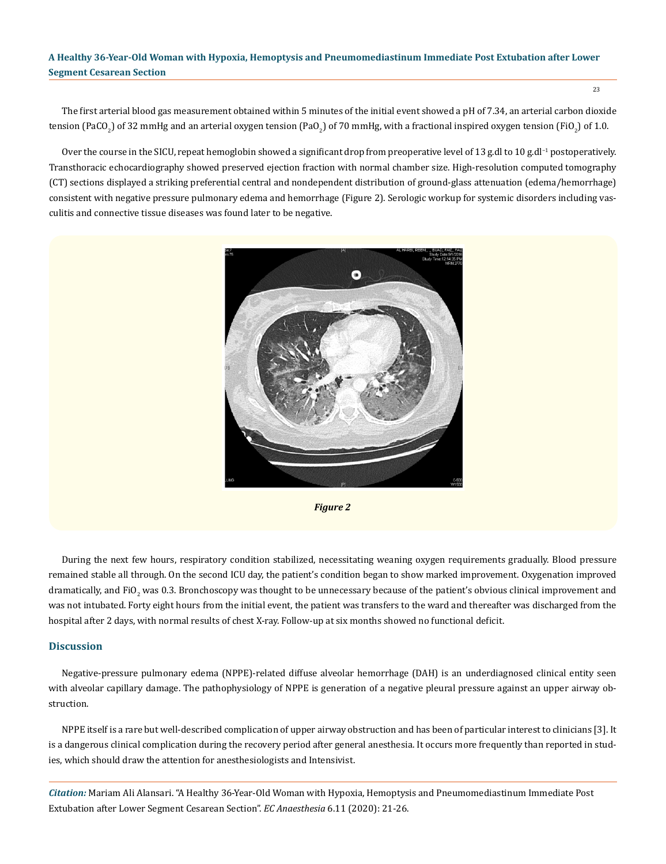The first arterial blood gas measurement obtained within 5 minutes of the initial event showed a pH of 7.34, an arterial carbon dioxide tension (PaCO<sub>2</sub>) of 32 mmHg and an arterial oxygen tension (PaO<sub>2</sub>) of 70 mmHg, with a fractional inspired oxygen tension (FiO<sub>2</sub>) of 1.0.

Over the course in the SICU, repeat hemoglobin showed a significant drop from preoperative level of 13 g.dl to 10 g.dl<sup>-1</sup> postoperatively. Transthoracic echocardiography showed preserved ejection fraction with normal chamber size. High-resolution computed tomography (CT) sections displayed a striking preferential central and nondependent distribution of ground-glass attenuation (edema/hemorrhage) consistent with negative pressure pulmonary edema and hemorrhage (Figure 2). Serologic workup for systemic disorders including vasculitis and connective tissue diseases was found later to be negative.





During the next few hours, respiratory condition stabilized, necessitating weaning oxygen requirements gradually. Blood pressure remained stable all through. On the second ICU day, the patient's condition began to show marked improvement. Oxygenation improved dramatically, and FiO<sub>2</sub> was 0.3. Bronchoscopy was thought to be unnecessary because of the patient's obvious clinical improvement and was not intubated. Forty eight hours from the initial event, the patient was transfers to the ward and thereafter was discharged from the hospital after 2 days, with normal results of chest X-ray. Follow-up at six months showed no functional deficit.

#### **Discussion**

Negative-pressure pulmonary edema (NPPE)-related diffuse alveolar hemorrhage (DAH) is an underdiagnosed clinical entity seen with alveolar capillary damage. The pathophysiology of NPPE is generation of a negative pleural pressure against an upper airway obstruction.

NPPE itself is a rare but well-described complication of upper airway obstruction and has been of particular interest to clinicians [3]. It is a dangerous clinical complication during the recovery period after general anesthesia. It occurs more frequently than reported in studies, which should draw the attention for anesthesiologists and Intensivist.

*Citation:* Mariam Ali Alansari. "A Healthy 36-Year-Old Woman with Hypoxia, Hemoptysis and Pneumomediastinum Immediate Post Extubation after Lower Segment Cesarean Section". *EC Anaesthesia* 6.11 (2020): 21-26.

23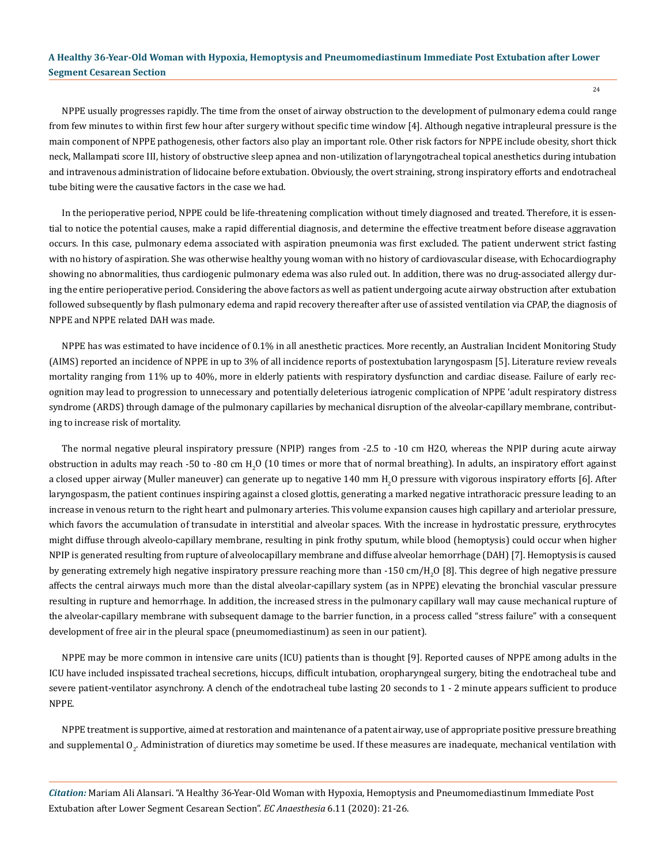NPPE usually progresses rapidly. The time from the onset of airway obstruction to the development of pulmonary edema could range from few minutes to within first few hour after surgery without specific time window [4]. Although negative intrapleural pressure is the main component of NPPE pathogenesis, other factors also play an important role. Other risk factors for NPPE include obesity, short thick neck, Mallampati score III, history of obstructive sleep apnea and non-utilization of laryngotracheal topical anesthetics during intubation and intravenous administration of lidocaine before extubation. Obviously, the overt straining, strong inspiratory efforts and endotracheal tube biting were the causative factors in the case we had.

In the perioperative period, NPPE could be life-threatening complication without timely diagnosed and treated. Therefore, it is essential to notice the potential causes, make a rapid differential diagnosis, and determine the effective treatment before disease aggravation occurs. In this case, pulmonary edema associated with aspiration pneumonia was first excluded. The patient underwent strict fasting with no history of aspiration. She was otherwise healthy young woman with no history of cardiovascular disease, with Echocardiography showing no abnormalities, thus cardiogenic pulmonary edema was also ruled out. In addition, there was no drug-associated allergy during the entire perioperative period. Considering the above factors as well as patient undergoing acute airway obstruction after extubation followed subsequently by flash pulmonary edema and rapid recovery thereafter after use of assisted ventilation via CPAP, the diagnosis of NPPE and NPPE related DAH was made.

NPPE has was estimated to have incidence of 0.1% in all anesthetic practices. More recently, an Australian Incident Monitoring Study (AIMS) reported an incidence of NPPE in up to 3% of all incidence reports of postextubation laryngospasm [5]. Literature review reveals mortality ranging from 11% up to 40%, more in elderly patients with respiratory dysfunction and cardiac disease. Failure of early recognition may lead to progression to unnecessary and potentially deleterious iatrogenic complication of NPPE 'adult respiratory distress syndrome (ARDS) through damage of the pulmonary capillaries by mechanical disruption of the alveolar-capillary membrane, contributing to increase risk of mortality.

The normal negative pleural inspiratory pressure (NPIP) ranges from -2.5 to -10 cm H2O, whereas the NPIP during acute airway obstruction in adults may reach -50 to -80 cm  $H_2O$  (10 times or more that of normal breathing). In adults, an inspiratory effort against a closed upper airway (Muller maneuver) can generate up to negative 140 mm  ${\rm H_2O}$  pressure with vigorous inspiratory efforts [6]. After laryngospasm, the patient continues inspiring against a closed glottis, generating a marked negative intrathoracic pressure leading to an increase in venous return to the right heart and pulmonary arteries. This volume expansion causes high capillary and arteriolar pressure, which favors the accumulation of transudate in interstitial and alveolar spaces. With the increase in hydrostatic pressure, erythrocytes might diffuse through alveolo-capillary membrane, resulting in pink frothy sputum, while blood (hemoptysis) could occur when higher NPIP is generated resulting from rupture of alveolocapillary membrane and diffuse alveolar hemorrhage (DAH) [7]. Hemoptysis is caused by generating extremely high negative inspiratory pressure reaching more than -150 cm/H<sub>2</sub>O [8]. This degree of high negative pressure affects the central airways much more than the distal alveolar-capillary system (as in NPPE) elevating the bronchial vascular pressure resulting in rupture and hemorrhage. In addition, the increased stress in the pulmonary capillary wall may cause mechanical rupture of the alveolar-capillary membrane with subsequent damage to the barrier function, in a process called "stress failure" with a consequent development of free air in the pleural space (pneumomediastinum) as seen in our patient).

NPPE may be more common in intensive care units (ICU) patients than is thought [9]. Reported causes of NPPE among adults in the ICU have included inspissated tracheal secretions, hiccups, difficult intubation, oropharyngeal surgery, biting the endotracheal tube and severe patient-ventilator asynchrony. A clench of the endotracheal tube lasting 20 seconds to 1 - 2 minute appears sufficient to produce NPPE.

NPPE treatment is supportive, aimed at restoration and maintenance of a patent airway, use of appropriate positive pressure breathing and supplemental O $_{2}$ . Administration of diuretics may sometime be used. If these measures are inadequate, mechanical ventilation with

*Citation:* Mariam Ali Alansari. "A Healthy 36-Year-Old Woman with Hypoxia, Hemoptysis and Pneumomediastinum Immediate Post Extubation after Lower Segment Cesarean Section". *EC Anaesthesia* 6.11 (2020): 21-26.

24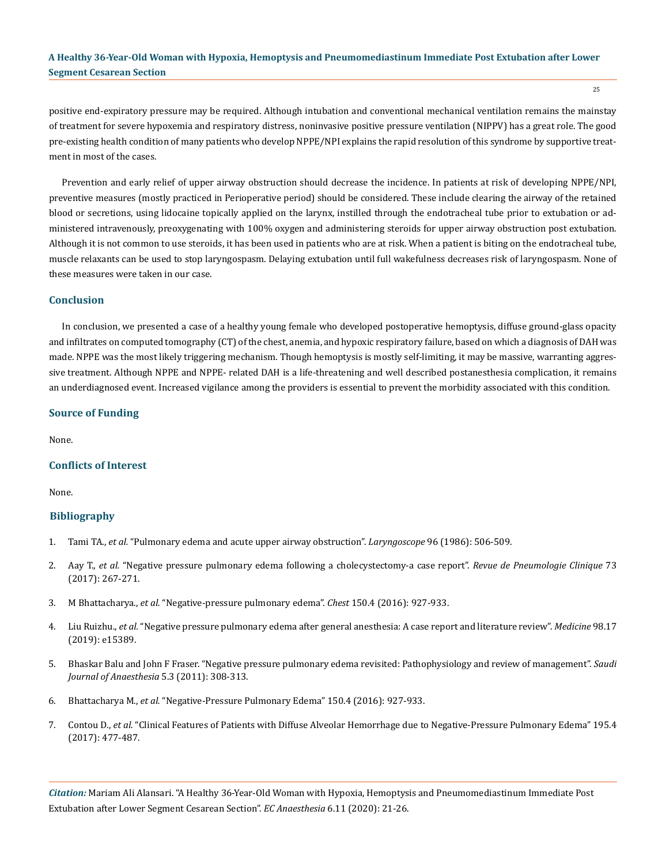positive end-expiratory pressure may be required. Although intubation and conventional mechanical ventilation remains the mainstay of treatment for severe hypoxemia and respiratory distress, noninvasive positive pressure ventilation (NIPPV) has a great role. The good pre-existing health condition of many patients who develop NPPE/NPI explains the rapid resolution of this syndrome by supportive treatment in most of the cases.

Prevention and early relief of upper airway obstruction should decrease the incidence. In patients at risk of developing NPPE/NPI, preventive measures (mostly practiced in Perioperative period) should be considered. These include clearing the airway of the retained blood or secretions, using lidocaine topically applied on the larynx, instilled through the endotracheal tube prior to extubation or administered intravenously, preoxygenating with 100% oxygen and administering steroids for upper airway obstruction post extubation. Although it is not common to use steroids, it has been used in patients who are at risk. When a patient is biting on the endotracheal tube, muscle relaxants can be used to stop laryngospasm. Delaying extubation until full wakefulness decreases risk of laryngospasm. None of these measures were taken in our case.

#### **Conclusion**

In conclusion, we presented a case of a healthy young female who developed postoperative hemoptysis, diffuse ground-glass opacity and infiltrates on computed tomography (CT) of the chest, anemia, and hypoxic respiratory failure, based on which a diagnosis of DAH was made. NPPE was the most likely triggering mechanism. Though hemoptysis is mostly self-limiting, it may be massive, warranting aggressive treatment. Although NPPE and NPPE- related DAH is a life-threatening and well described postanesthesia complication, it remains an underdiagnosed event. Increased vigilance among the providers is essential to prevent the morbidity associated with this condition.

#### **Source of Funding**

None.

#### **Conflicts of Interest**

None.

#### **Bibliography**

- 1. Tami TA., *et al.* ["Pulmonary edema and acute upper airway obstruction".](https://pubmed.ncbi.nlm.nih.gov/3702565/) *Laryngoscope* 96 (1986): 506-509.
- 2. Aay T., *et al.* ["Negative pressure pulmonary edema following a cholecystectomy-a case report".](https://europepmc.org/article/med/29054715) *Revue de Pneumologie Clinique* 73 [\(2017\): 267-271.](https://europepmc.org/article/med/29054715)
- 3. M Bhattacharya., *et al.* ["Negative-pressure pulmonary edema".](https://pubmed.ncbi.nlm.nih.gov/27063348/) *Chest* 150.4 (2016): 927-933.
- 4. Liu Ruizhu., *et al.* ["Negative pressure pulmonary edema after general anesthesia: A case report and literature review".](https://www.ncbi.nlm.nih.gov/pmc/articles/PMC6831334/) *Medicine* 98.17 [\(2019\): e15389.](https://www.ncbi.nlm.nih.gov/pmc/articles/PMC6831334/)
- 5. [Bhaskar Balu and John F Fraser. "Negative pressure pulmonary edema revisited: Pathophysiology and review of management".](https://www.ncbi.nlm.nih.gov/pmc/articles/PMC3168351/) *Saudi [Journal of Anaesthesia](https://www.ncbi.nlm.nih.gov/pmc/articles/PMC3168351/)* 5.3 (2011): 308-313.
- 6. Bhattacharya M., *et al.* ["Negative-Pressure Pulmonary Edema" 150.4 \(2016\): 927-933.](https://pubmed.ncbi.nlm.nih.gov/27063348/)
- 7. Contou D., *et al.* ["Clinical Features of Patients with Diffuse Alveolar Hemorrhage due to Negative-Pressure Pulmonary Edema" 195.4](https://europepmc.org/article/med/28455784)  [\(2017\): 477-487.](https://europepmc.org/article/med/28455784)

*Citation:* Mariam Ali Alansari. "A Healthy 36-Year-Old Woman with Hypoxia, Hemoptysis and Pneumomediastinum Immediate Post Extubation after Lower Segment Cesarean Section". *EC Anaesthesia* 6.11 (2020): 21-26.

25